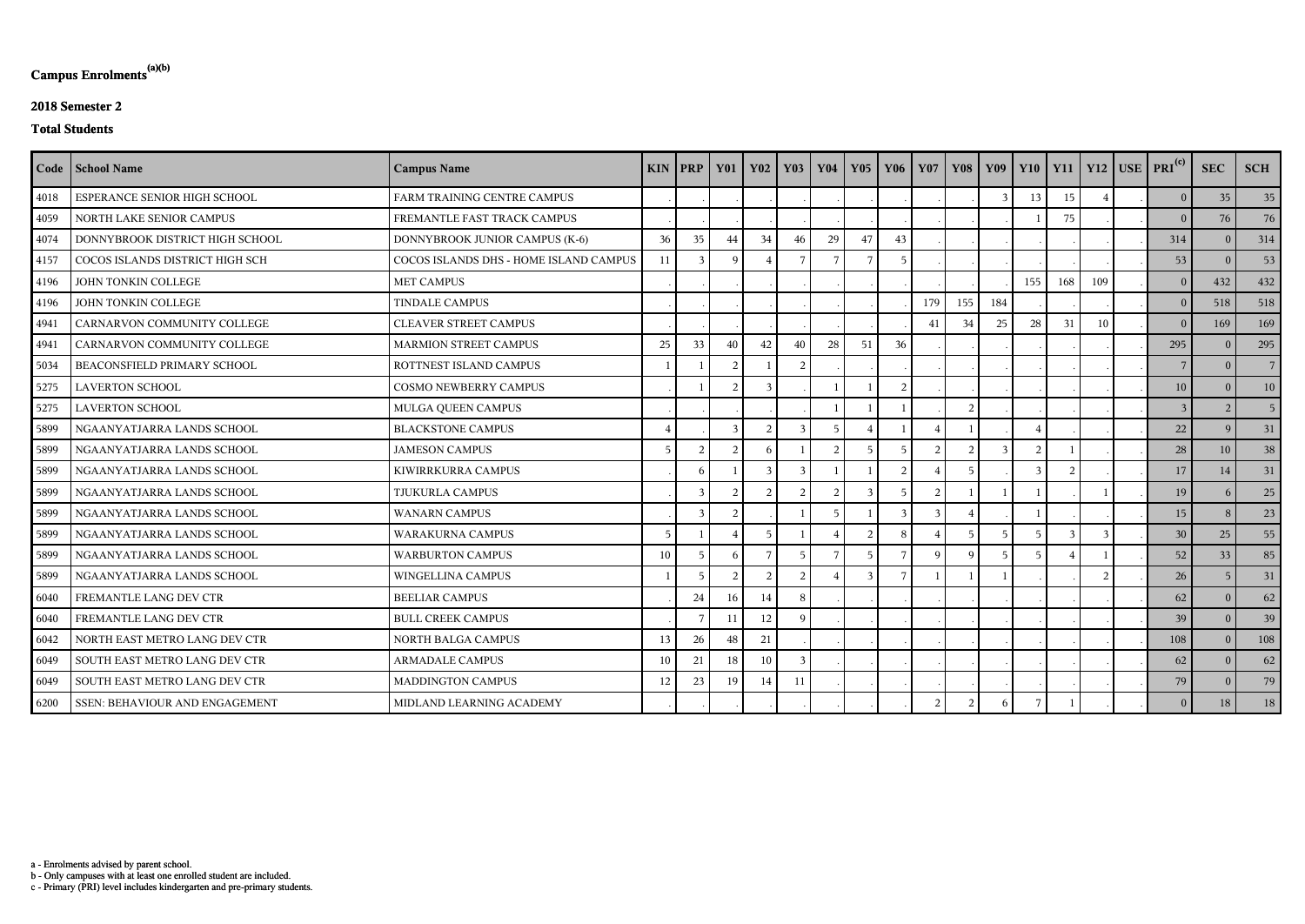c - Primary (PRI) level includes kindergarten and pre-primary students.

b - Only campuses with at least one enrolled student are included.

a - Enrolments advised by parent school.

# **Campus Enrolments(a)(b)**

### **2018 Semester 2**

#### **Total Students**

|      | Code   School Name              | <b>Campus Name</b>                     | <b>KIN</b> | $ $ PRP       | <b>Y01</b>     | <b>Y02</b>     | <b>Y03</b>     | <b>Y04</b>      | <b>Y05</b>      | Y06             | <b>Y07</b>    | <b>Y08</b>     |     |     |     |     | $\begin{array}{ c c c c c c c c c } \hline \end{array}$ Y10   Y11   Y12   USE   PRI $^{\text{(c)}}$ | <b>SEC</b>     | <b>SCH</b>     |
|------|---------------------------------|----------------------------------------|------------|---------------|----------------|----------------|----------------|-----------------|-----------------|-----------------|---------------|----------------|-----|-----|-----|-----|-----------------------------------------------------------------------------------------------------|----------------|----------------|
| 4018 | ESPERANCE SENIOR HIGH SCHOOL    | FARM TRAINING CENTRE CAMPUS            |            |               |                |                |                |                 |                 |                 |               |                |     | 13  | 15  |     | 0                                                                                                   | 35             | 35             |
| 4059 | NORTH LAKE SENIOR CAMPUS        | FREMANTLE FAST TRACK CAMPUS            |            |               |                |                |                |                 |                 |                 |               |                |     |     | 75  |     | 0                                                                                                   | 76             | 76             |
| 4074 | DONNYBROOK DISTRICT HIGH SCHOOL | DONNYBROOK JUNIOR CAMPUS (K-6)         | 36         | 35            | 44             | 34             | 46             | 29              | 47              | 43              |               |                |     |     |     |     | 314                                                                                                 | $\Omega$       | 314            |
| 4157 | COCOS ISLANDS DISTRICT HIGH SCH | COCOS ISLANDS DHS - HOME ISLAND CAMPUS | 11         |               | - Q            |                |                |                 |                 |                 |               |                |     |     |     |     | 53                                                                                                  | $\overline{0}$ | 53             |
| 4196 | JOHN TONKIN COLLEGE             | <b>MET CAMPUS</b>                      |            |               |                |                |                |                 |                 |                 |               |                |     | 155 | 168 | 109 | $\vert 0 \vert$                                                                                     | 432            | 432            |
| 4196 | JOHN TONKIN COLLEGE             | <b>TINDALE CAMPUS</b>                  |            |               |                |                |                |                 |                 |                 | 179           | 155            | 184 |     |     |     | 0                                                                                                   | 518            | 518            |
| 4941 | CARNARVON COMMUNITY COLLEGE     | <b>CLEAVER STREET CAMPUS</b>           |            |               |                |                |                |                 |                 |                 | 41            | 34             | 25  | 28  | 31  | 10  | 0                                                                                                   | 169            | 169            |
| 4941 | CARNARVON COMMUNITY COLLEGE     | MARMION STREET CAMPUS                  | 25         | 33            | 40             | 42             | 40             | 28              | 51              | 36              |               |                |     |     |     |     | 295                                                                                                 | $\Omega$       | 295            |
| 5034 | BEACONSFIELD PRIMARY SCHOOL     | ROTTNEST ISLAND CAMPUS                 |            |               | $\overline{2}$ |                | 2              |                 |                 |                 |               |                |     |     |     |     | $7\overline{ }$                                                                                     | $\overline{0}$ | 7 <sup>1</sup> |
| 5275 | <b>LAVERTON SCHOOL</b>          | <b>COSMO NEWBERRY CAMPUS</b>           |            |               | $\mathcal{D}$  | $\mathcal{R}$  |                |                 |                 | $\mathcal{D}$   |               |                |     |     |     |     | 10                                                                                                  | $\theta$       | 10             |
| 5275 | <b>LAVERTON SCHOOL</b>          | MULGA QUEEN CAMPUS                     |            |               |                |                |                |                 |                 |                 |               | $\overline{2}$ |     |     |     |     | $\overline{3}$                                                                                      | $\overline{2}$ | 5 <sup>1</sup> |
| 5899 | NGAANYATJARRA LANDS SCHOOL      | <b>BLACKSTONE CAMPUS</b>               |            |               | $\mathcal{E}$  | $\overline{2}$ | 3              | 5               |                 |                 |               |                |     |     |     |     | 22                                                                                                  | 9              | 31             |
| 5899 | NGAANYATJARRA LANDS SCHOOL      | <b>JAMESON CAMPUS</b>                  | 5          | $\mathcal{L}$ | $\overline{2}$ | -6             |                | 2               | .5              | $5\overline{)}$ | $\mathcal{D}$ |                |     |     |     |     | 28                                                                                                  | 10             | 38             |
| 5899 | NGAANYATJARRA LANDS SCHOOL      | KIWIRRKURRA CAMPUS                     |            | -6            |                |                | $\mathcal{R}$  |                 |                 |                 |               |                |     |     |     |     | 17                                                                                                  | 14             | 31             |
| 5899 | NGAANYATJARRA LANDS SCHOOL      | TJUKURLA CAMPUS                        |            | $\mathcal{R}$ | $\mathcal{D}$  | $\mathcal{D}$  | $\overline{2}$ | $\mathcal{L}$   | $\mathbf{3}$    |                 | $\mathcal{D}$ |                |     |     |     |     | 19                                                                                                  | -6             | 25             |
| 5899 | NGAANYATJARRA LANDS SCHOOL      | <b>WANARN CAMPUS</b>                   |            | $\mathcal{R}$ | $\overline{2}$ |                |                | -5              |                 | $\mathbf{3}$    | $\mathbf{3}$  |                |     |     |     |     | 15                                                                                                  | 8              | 23             |
| 5899 | NGAANYATJARRA LANDS SCHOOL      | <b>WARAKURNA CAMPUS</b>                | 5          |               |                | $\overline{5}$ |                |                 | $\overline{2}$  | 8               |               | 5              | 5   |     |     |     | 30                                                                                                  | 25             | 55             |
| 5899 | NGAANYATJARRA LANDS SCHOOL      | <b>WARBURTON CAMPUS</b>                | 10         | -5            | -6             | 7              | $\overline{5}$ | $7\phantom{.0}$ | $5\overline{)}$ |                 | $\mathbf Q$   | $\Omega$       |     |     |     |     | 52                                                                                                  | 33             | 85             |
| 5899 | NGAANYATJARRA LANDS SCHOOL      | WINGELLINA CAMPUS                      |            |               | $\overline{2}$ | $\overline{2}$ | $\overline{2}$ |                 |                 |                 |               |                |     |     |     |     | 26                                                                                                  | $-5$           | 31             |
| 6040 | FREMANTLE LANG DEV CTR          | <b>BEELIAR CAMPUS</b>                  |            | 24            | 16             | 14             |                |                 |                 |                 |               |                |     |     |     |     | 62                                                                                                  | $\Omega$       | 62             |
| 6040 | FREMANTLE LANG DEV CTR          | <b>BULL CREEK CAMPUS</b>               |            |               | 11             | 12             | $\mathbf C$    |                 |                 |                 |               |                |     |     |     |     | 39                                                                                                  | $\theta$       | 39             |
| 6042 | NORTH EAST METRO LANG DEV CTR   | <b>NORTH BALGA CAMPUS</b>              | 13         | 26            | 48             | 21             |                |                 |                 |                 |               |                |     |     |     |     | 108                                                                                                 | $\overline{0}$ | 108            |
| 6049 | SOUTH EAST METRO LANG DEV CTR   | <b>ARMADALE CAMPUS</b>                 | 10         | 21            | 18             | 10             | $\mathcal{E}$  |                 |                 |                 |               |                |     |     |     |     | 62                                                                                                  | $\overline{0}$ | 62             |
| 6049 | SOUTH EAST METRO LANG DEV CTR   | MADDINGTON CAMPUS                      | 12         | 23            | 19             | 14             | 11             |                 |                 |                 |               |                |     |     |     |     | 79                                                                                                  | $\Omega$       | 79             |
| 6200 | SSEN: BEHAVIOUR AND ENGAGEMENT  | MIDLAND LEARNING ACADEMY               |            |               |                |                |                |                 |                 |                 | $\mathcal{D}$ | $\mathcal{L}$  |     |     |     |     | $\vert 0 \vert$                                                                                     | 18             | 18             |